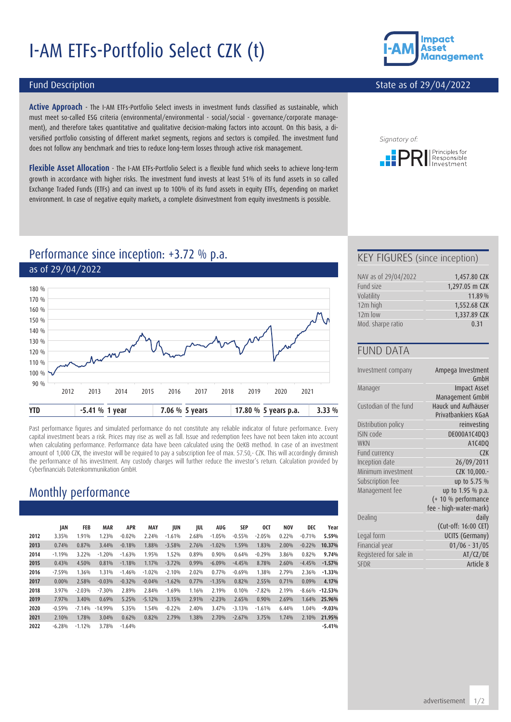# I-AM ETFs-Portfolio Select CZK (t)



#### State as of 29/04/2022

#### Fund Description

**Active Approach** - The I-AM ETFs-Portfolio Select invests in investment funds classified as sustainable, which must meet so-called ESG criteria (environmental/environmental - social/social - governance/corporate management), and therefore takes quantitative and qualitative decision-making factors into account. On this basis, a diversified portfolio consisting of different market segments, regions and sectors is compiled. The investment fund does not follow any benchmark and tries to reduce long-term losses through active risk management.

**Flexible Asset Allocation** - The I-AM ETFs-Portfolio Select is a flexible fund which seeks to achieve long-term growth in accordance with higher risks. The investment fund invests at least 51% of its fund assets in so called Exchange Traded Funds (ETFs) and can invest up to 100% of its fund assets in equity ETFs, depending on market environment. In case of negative equity markets, a complete disinvestment from equity investments is possible.



# Performance since inception: +3.72 % p.a. as of 29/04/2022



Past performance figures and simulated performance do not constitute any reliable indicator of future performance. Every capital investment bears a risk. Prices may rise as well as fall. Issue and redemption fees have not been taken into account when calculating performance. Performance data have been calculated using the OeKB method. In case of an investment amount of 1,000 CZK, the investor will be required to pay a subscription fee of max. 57.50,- CZK. This will accordingly diminish the performance of his investment. Any custody charges will further reduce the investor's return. Calculation provided by Cyberfinancials Datenkommunikation GmbH.

# Monthly performance

|      | JAN      | FEB      | <b>MAR</b> | <b>APR</b> | MAY      | JUN      | JUL   | AUG      | <b>SEP</b> | 0CT      | <b>NOV</b> | DEC      | Year      |
|------|----------|----------|------------|------------|----------|----------|-------|----------|------------|----------|------------|----------|-----------|
| 2012 | 3.35%    | 1.91%    | 1.23%      | $-0.02%$   | 2.24%    | $-1.61%$ | 2.68% | $-1.05%$ | $-0.55%$   | $-2.05%$ | 0.22%      | $-0.71%$ | 5.59%     |
| 2013 | 0.74%    | 0.87%    | 3.44%      | $-0.18%$   | 1.88%    | $-3.58%$ | 2.76% | $-1.02%$ | 1.59%      | 1.83%    | 2.00%      | $-0.22%$ | 10.37%    |
| 2014 | $-1.19%$ | 3.22%    | $-1.20%$   | $-1.63%$   | 1.95%    | 1.52%    | 0.89% | 0.90%    | 0.64%      | $-0.29%$ | 3.86%      | 0.82%    | 9.74%     |
| 2015 | 0.43%    | 4.50%    | 0.81%      | $-1.18%$   | 1.17%    | $-3.72%$ | 0.99% | $-6.09%$ | $-4.45%$   | 8.78%    | 2.60%      | $-4.45%$ | $-1.57%$  |
| 2016 | $-7.59%$ | 1.36%    | 1.31%      | $-1.46%$   | $-1.02%$ | $-2.10%$ | 2.02% | 0.77%    | $-0.69%$   | 1.38%    | 2.79%      | 2.36%    | $-1.33%$  |
| 2017 | 0.00%    | 2.58%    | $-0.03%$   | $-0.32%$   | $-0.04%$ | $-1.62%$ | 0.77% | $-1.35%$ | 0.82%      | 2.55%    | 0.71%      | 0.09%    | 4.17%     |
| 2018 | 3.97%    | $-2.03%$ | $-7.30%$   | 2.89%      | 2.84%    | $-1.69%$ | 1.16% | 2.19%    | 0.10%      | $-7.82%$ | 2.19%      | $-8.66%$ | $-12.53%$ |
| 2019 | 7.97%    | 3.40%    | 0.69%      | 5.25%      | $-5.12%$ | 3.15%    | 2.91% | $-2.23%$ | 2.65%      | 0.90%    | 2.69%      | 1.64%    | 25.96%    |
| 2020 | $-0.59%$ | $-7.14%$ | $-14.99%$  | 5.35%      | 1.54%    | $-0.22%$ | 2.40% | 3.47%    | $-3.13%$   | $-1.61%$ | 6.44%      | 1.04%    | $-9.03%$  |
| 2021 | 2.10%    | 1.78%    | 3.04%      | 0.62%      | 0.82%    | 2.79%    | 1.38% | 2.70%    | $-2.67%$   | 3.75%    | 1.74%      | 2.10%    | 21.95%    |
| 2022 | $-6.28%$ | $-1.12%$ | 3.78%      | $-1.64%$   |          |          |       |          |            |          |            |          | $-5.41%$  |

#### KEY FIGURES (since inception)

| NAV as of 29/04/2022 | 1,457.80 CZK   |
|----------------------|----------------|
| Fund size            | 1,297.05 m CZK |
| Volatility           | 11.89%         |
| 12m high             | 1,552.68 CZK   |
| $12m$ low            | 1,337.89 CZK   |
| Mod. sharpe ratio    | 0.31           |

#### FUND DATA

| Investment company     | Ampega Investment<br>GmbH                  |
|------------------------|--------------------------------------------|
| Manager                | <b>Impact Asset</b><br>Management GmbH     |
| Custodian of the fund  | Hauck und Aufhäuser<br>Privatbankiers KGaA |
| Distribution policy    | reinvesting                                |
| ISIN code              | DE000A1C4DQ3                               |
| <b>WKN</b>             | A1C4DQ                                     |
| Fund currency          | C2K                                        |
| Inception date         | 26/09/2011                                 |
| Minimum investment     | CZK 10,000.-                               |
| Subscription fee       | up to 5.75 %                               |
| Management fee         | up to 1.95 % p.a.                          |
|                        | (+ 10 % performance                        |
|                        | fee - high-water-mark)                     |
| Dealing                | daily                                      |
|                        | (Cut-off: 16:00 CET)                       |
| Legal form             | UCITS (Germany)                            |
| Financial year         | $01/06 - 31/05$                            |
| Registered for sale in | AT/CZ/DE                                   |
| <b>SFDR</b>            | Article 8                                  |
|                        |                                            |